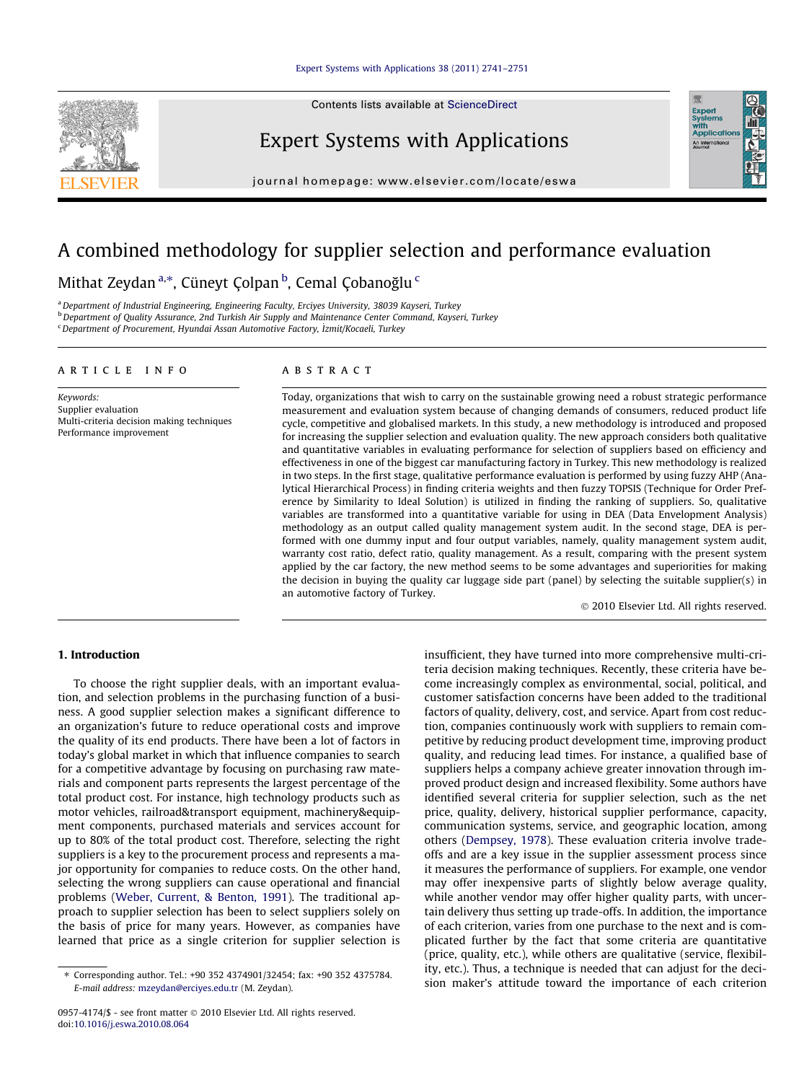Contents lists available at [ScienceDirect](http://www.sciencedirect.com/science/journal/09574174)

### Expert Systems with Applications

journal homepage: [www.elsevier.com/locate/eswa](http://www.elsevier.com/locate/eswa)

## A combined methodology for supplier selection and performance evaluation

### Mithat Zeydan ª \*, Cüneyt Çolpan <sup>b</sup>, Cemal Çobanoğlu <sup>c</sup>

a Department of Industrial Engineering, Engineering Faculty, Erciyes University, 38039 Kayseri, Turkey <sup>b</sup> Department of Quality Assurance, 2nd Turkish Air Supply and Maintenance Center Command, Kayseri, Turkey  $\epsilon$  Department of Procurement, Hyundai Assan Automotive Factory, İzmit/Kocaeli, Turkey

#### article info

Keywords: Supplier evaluation Multi-criteria decision making techniques Performance improvement

#### ABSTRACT

Today, organizations that wish to carry on the sustainable growing need a robust strategic performance measurement and evaluation system because of changing demands of consumers, reduced product life cycle, competitive and globalised markets. In this study, a new methodology is introduced and proposed for increasing the supplier selection and evaluation quality. The new approach considers both qualitative and quantitative variables in evaluating performance for selection of suppliers based on efficiency and effectiveness in one of the biggest car manufacturing factory in Turkey. This new methodology is realized in two steps. In the first stage, qualitative performance evaluation is performed by using fuzzy AHP (Analytical Hierarchical Process) in finding criteria weights and then fuzzy TOPSIS (Technique for Order Preference by Similarity to Ideal Solution) is utilized in finding the ranking of suppliers. So, qualitative variables are transformed into a quantitative variable for using in DEA (Data Envelopment Analysis) methodology as an output called quality management system audit. In the second stage, DEA is performed with one dummy input and four output variables, namely, quality management system audit, warranty cost ratio, defect ratio, quality management. As a result, comparing with the present system applied by the car factory, the new method seems to be some advantages and superiorities for making the decision in buying the quality car luggage side part (panel) by selecting the suitable supplier(s) in an automotive factory of Turkey.

- 2010 Elsevier Ltd. All rights reserved.

Expert<br>Systems<br>with<br>Applicat

#### 1. Introduction

To choose the right supplier deals, with an important evaluation, and selection problems in the purchasing function of a business. A good supplier selection makes a significant difference to an organization's future to reduce operational costs and improve the quality of its end products. There have been a lot of factors in today's global market in which that influence companies to search for a competitive advantage by focusing on purchasing raw materials and component parts represents the largest percentage of the total product cost. For instance, high technology products such as motor vehicles, railroad&transport equipment, machinery&equipment components, purchased materials and services account for up to 80% of the total product cost. Therefore, selecting the right suppliers is a key to the procurement process and represents a major opportunity for companies to reduce costs. On the other hand, selecting the wrong suppliers can cause operational and financial problems ([Weber, Current, & Benton, 1991](#page--1-0)). The traditional approach to supplier selection has been to select suppliers solely on the basis of price for many years. However, as companies have learned that price as a single criterion for supplier selection is insufficient, they have turned into more comprehensive multi-criteria decision making techniques. Recently, these criteria have become increasingly complex as environmental, social, political, and customer satisfaction concerns have been added to the traditional factors of quality, delivery, cost, and service. Apart from cost reduction, companies continuously work with suppliers to remain competitive by reducing product development time, improving product quality, and reducing lead times. For instance, a qualified base of suppliers helps a company achieve greater innovation through improved product design and increased flexibility. Some authors have identified several criteria for supplier selection, such as the net price, quality, delivery, historical supplier performance, capacity, communication systems, service, and geographic location, among others ([Dempsey, 1978](#page--1-0)). These evaluation criteria involve tradeoffs and are a key issue in the supplier assessment process since it measures the performance of suppliers. For example, one vendor may offer inexpensive parts of slightly below average quality, while another vendor may offer higher quality parts, with uncertain delivery thus setting up trade-offs. In addition, the importance of each criterion, varies from one purchase to the next and is complicated further by the fact that some criteria are quantitative (price, quality, etc.), while others are qualitative (service, flexibility, etc.). Thus, a technique is needed that can adjust for the decision maker's attitude toward the importance of each criterion

<sup>⇑</sup> Corresponding author. Tel.: +90 352 4374901/32454; fax: +90 352 4375784. E-mail address: [mzeydan@erciyes.edu.tr](mailto:mzeydan@erciyes.edu.tr) (M. Zeydan).

<sup>0957-4174/\$ -</sup> see front matter © 2010 Elsevier Ltd. All rights reserved. doi[:10.1016/j.eswa.2010.08.064](http://dx.doi.org/10.1016/j.eswa.2010.08.064)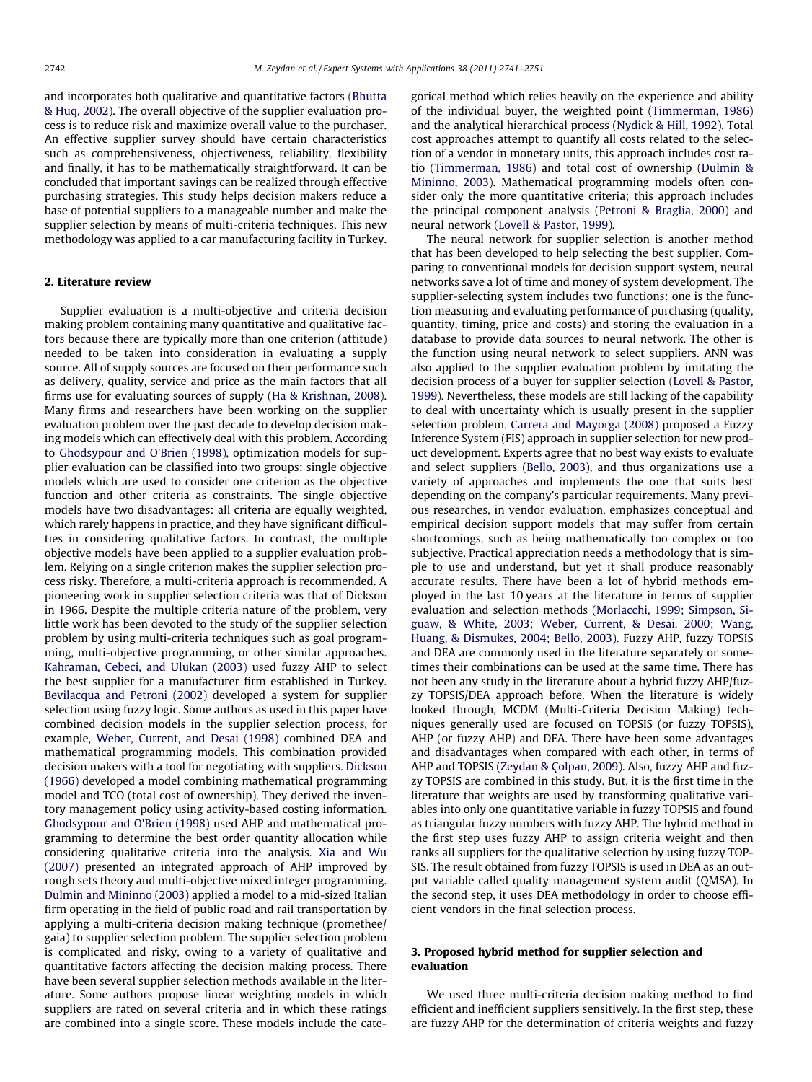and incorporates both qualitative and quantitative factors ([Bhutta](#page--1-0) [& Huq, 2002\)](#page--1-0). The overall objective of the supplier evaluation process is to reduce risk and maximize overall value to the purchaser. An effective supplier survey should have certain characteristics such as comprehensiveness, objectiveness, reliability, flexibility and finally, it has to be mathematically straightforward. It can be concluded that important savings can be realized through effective purchasing strategies. This study helps decision makers reduce a base of potential suppliers to a manageable number and make the supplier selection by means of multi-criteria techniques. This new methodology was applied to a car manufacturing facility in Turkey.

#### 2. Literature review

Supplier evaluation is a multi-objective and criteria decision making problem containing many quantitative and qualitative factors because there are typically more than one criterion (attitude) needed to be taken into consideration in evaluating a supply source. All of supply sources are focused on their performance such as delivery, quality, service and price as the main factors that all firms use for evaluating sources of supply ([Ha & Krishnan, 2008\)](#page--1-0). Many firms and researchers have been working on the supplier evaluation problem over the past decade to develop decision making models which can effectively deal with this problem. According to [Ghodsypour and O'Brien \(1998\),](#page--1-0) optimization models for supplier evaluation can be classified into two groups: single objective models which are used to consider one criterion as the objective function and other criteria as constraints. The single objective models have two disadvantages: all criteria are equally weighted, which rarely happens in practice, and they have significant difficulties in considering qualitative factors. In contrast, the multiple objective models have been applied to a supplier evaluation problem. Relying on a single criterion makes the supplier selection process risky. Therefore, a multi-criteria approach is recommended. A pioneering work in supplier selection criteria was that of Dickson in 1966. Despite the multiple criteria nature of the problem, very little work has been devoted to the study of the supplier selection problem by using multi-criteria techniques such as goal programming, multi-objective programming, or other similar approaches. [Kahraman, Cebeci, and Ulukan \(2003\)](#page--1-0) used fuzzy AHP to select the best supplier for a manufacturer firm established in Turkey. [Bevilacqua and Petroni \(2002\)](#page--1-0) developed a system for supplier selection using fuzzy logic. Some authors as used in this paper have combined decision models in the supplier selection process, for example, [Weber, Current, and Desai \(1998\)](#page--1-0) combined DEA and mathematical programming models. This combination provided decision makers with a tool for negotiating with suppliers. [Dickson](#page--1-0) [\(1966\)](#page--1-0) developed a model combining mathematical programming model and TCO (total cost of ownership). They derived the inventory management policy using activity-based costing information. [Ghodsypour and O'Brien \(1998\)](#page--1-0) used AHP and mathematical programming to determine the best order quantity allocation while considering qualitative criteria into the analysis. [Xia and Wu](#page--1-0) [\(2007\)](#page--1-0) presented an integrated approach of AHP improved by rough sets theory and multi-objective mixed integer programming. [Dulmin and Mininno \(2003\)](#page--1-0) applied a model to a mid-sized Italian firm operating in the field of public road and rail transportation by applying a multi-criteria decision making technique (promethee/ gaia) to supplier selection problem. The supplier selection problem is complicated and risky, owing to a variety of qualitative and quantitative factors affecting the decision making process. There have been several supplier selection methods available in the literature. Some authors propose linear weighting models in which suppliers are rated on several criteria and in which these ratings are combined into a single score. These models include the categorical method which relies heavily on the experience and ability of the individual buyer, the weighted point ([Timmerman, 1986\)](#page--1-0) and the analytical hierarchical process ([Nydick & Hill, 1992](#page--1-0)). Total cost approaches attempt to quantify all costs related to the selection of a vendor in monetary units, this approach includes cost ratio ([Timmerman, 1986](#page--1-0)) and total cost of ownership ([Dulmin &](#page--1-0) [Mininno, 2003\)](#page--1-0). Mathematical programming models often consider only the more quantitative criteria; this approach includes the principal component analysis ([Petroni & Braglia, 2000\)](#page--1-0) and neural network ([Lovell & Pastor, 1999](#page--1-0)).

The neural network for supplier selection is another method that has been developed to help selecting the best supplier. Comparing to conventional models for decision support system, neural networks save a lot of time and money of system development. The supplier-selecting system includes two functions: one is the function measuring and evaluating performance of purchasing (quality, quantity, timing, price and costs) and storing the evaluation in a database to provide data sources to neural network. The other is the function using neural network to select suppliers. ANN was also applied to the supplier evaluation problem by imitating the decision process of a buyer for supplier selection [\(Lovell & Pastor,](#page--1-0) [1999\)](#page--1-0). Nevertheless, these models are still lacking of the capability to deal with uncertainty which is usually present in the supplier selection problem. [Carrera and Mayorga \(2008\)](#page--1-0) proposed a Fuzzy Inference System (FIS) approach in supplier selection for new product development. Experts agree that no best way exists to evaluate and select suppliers [\(Bello, 2003\)](#page--1-0), and thus organizations use a variety of approaches and implements the one that suits best depending on the company's particular requirements. Many previous researches, in vendor evaluation, emphasizes conceptual and empirical decision support models that may suffer from certain shortcomings, such as being mathematically too complex or too subjective. Practical appreciation needs a methodology that is simple to use and understand, but yet it shall produce reasonably accurate results. There have been a lot of hybrid methods employed in the last 10 years at the literature in terms of supplier evaluation and selection methods ([Morlacchi, 1999; Simpson, Si](#page--1-0)[guaw, & White, 2003; Weber, Current, & Desai, 2000; Wang,](#page--1-0) [Huang, & Dismukes, 2004; Bello, 2003](#page--1-0)). Fuzzy AHP, fuzzy TOPSIS and DEA are commonly used in the literature separately or sometimes their combinations can be used at the same time. There has not been any study in the literature about a hybrid fuzzy AHP/fuzzy TOPSIS/DEA approach before. When the literature is widely looked through, MCDM (Multi-Criteria Decision Making) techniques generally used are focused on TOPSIS (or fuzzy TOPSIS), AHP (or fuzzy AHP) and DEA. There have been some advantages and disadvantages when compared with each other, in terms of AHP and TOPSIS [\(Zeydan & Çolpan, 2009\)](#page--1-0). Also, fuzzy AHP and fuzzy TOPSIS are combined in this study. But, it is the first time in the literature that weights are used by transforming qualitative variables into only one quantitative variable in fuzzy TOPSIS and found as triangular fuzzy numbers with fuzzy AHP. The hybrid method in the first step uses fuzzy AHP to assign criteria weight and then ranks all suppliers for the qualitative selection by using fuzzy TOP-SIS. The result obtained from fuzzy TOPSIS is used in DEA as an output variable called quality management system audit (QMSA). In the second step, it uses DEA methodology in order to choose efficient vendors in the final selection process.

#### 3. Proposed hybrid method for supplier selection and evaluation

We used three multi-criteria decision making method to find efficient and inefficient suppliers sensitively. In the first step, these are fuzzy AHP for the determination of criteria weights and fuzzy